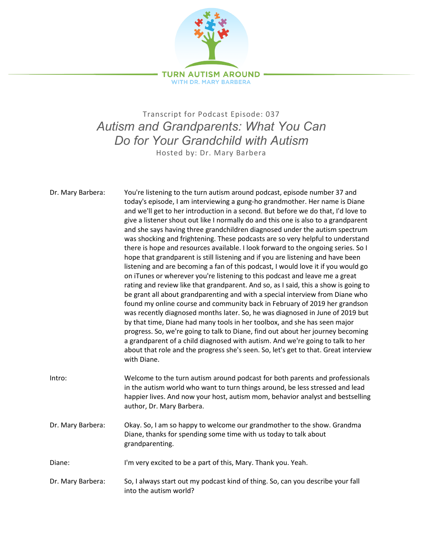

## Transcript for Podcast Episode: 037 *Autism and Grandparents: What You Can Do for Your Grandchild with Autism* Hosted by: Dr. Mary Barbera

Dr. Mary Barbera: You're listening to the turn autism around podcast, episode number 37 and today's episode, I am interviewing a gung-ho grandmother. Her name is Diane and we'll get to her introduction in a second. But before we do that, I'd love to give a listener shout out like I normally do and this one is also to a grandparent and she says having three grandchildren diagnosed under the autism spectrum was shocking and frightening. These podcasts are so very helpful to understand there is hope and resources available. I look forward to the ongoing series. So I hope that grandparent is still listening and if you are listening and have been listening and are becoming a fan of this podcast, I would love it if you would go on iTunes or wherever you're listening to this podcast and leave me a great rating and review like that grandparent. And so, as I said, this a show is going to be grant all about grandparenting and with a special interview from Diane who found my online course and community back in February of 2019 her grandson was recently diagnosed months later. So, he was diagnosed in June of 2019 but by that time, Diane had many tools in her toolbox, and she has seen major progress. So, we're going to talk to Diane, find out about her journey becoming a grandparent of a child diagnosed with autism. And we're going to talk to her about that role and the progress she's seen. So, let's get to that. Great interview with Diane. Intro: Welcome to the turn autism around podcast for both parents and professionals in the autism world who want to turn things around, be less stressed and lead happier lives. And now your host, autism mom, behavior analyst and bestselling author, Dr. Mary Barbera. Dr. Mary Barbera: Okay. So, I am so happy to welcome our grandmother to the show. Grandma Diane, thanks for spending some time with us today to talk about grandparenting. Diane: I'm very excited to be a part of this, Mary. Thank you. Yeah. Dr. Mary Barbera: So, I always start out my podcast kind of thing. So, can you describe your fall into the autism world?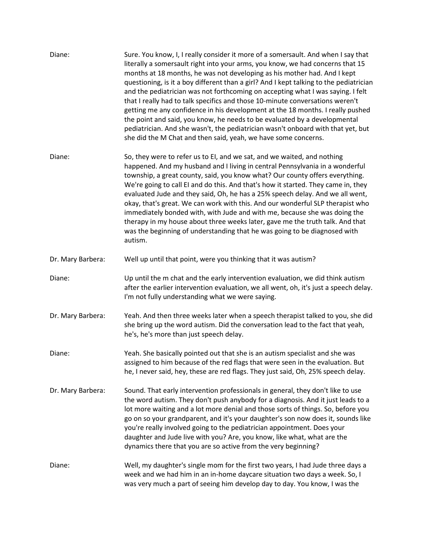| Diane:            | Sure. You know, I, I really consider it more of a somersault. And when I say that<br>literally a somersault right into your arms, you know, we had concerns that 15<br>months at 18 months, he was not developing as his mother had. And I kept<br>questioning, is it a boy different than a girl? And I kept talking to the pediatrician<br>and the pediatrician was not forthcoming on accepting what I was saying. I felt<br>that I really had to talk specifics and those 10-minute conversations weren't<br>getting me any confidence in his development at the 18 months. I really pushed<br>the point and said, you know, he needs to be evaluated by a developmental<br>pediatrician. And she wasn't, the pediatrician wasn't onboard with that yet, but<br>she did the M Chat and then said, yeah, we have some concerns. |
|-------------------|------------------------------------------------------------------------------------------------------------------------------------------------------------------------------------------------------------------------------------------------------------------------------------------------------------------------------------------------------------------------------------------------------------------------------------------------------------------------------------------------------------------------------------------------------------------------------------------------------------------------------------------------------------------------------------------------------------------------------------------------------------------------------------------------------------------------------------|
| Diane:            | So, they were to refer us to EI, and we sat, and we waited, and nothing<br>happened. And my husband and I living in central Pennsylvania in a wonderful<br>township, a great county, said, you know what? Our county offers everything.<br>We're going to call EI and do this. And that's how it started. They came in, they<br>evaluated Jude and they said, Oh, he has a 25% speech delay. And we all went,<br>okay, that's great. We can work with this. And our wonderful SLP therapist who<br>immediately bonded with, with Jude and with me, because she was doing the<br>therapy in my house about three weeks later, gave me the truth talk. And that<br>was the beginning of understanding that he was going to be diagnosed with<br>autism.                                                                              |
| Dr. Mary Barbera: | Well up until that point, were you thinking that it was autism?                                                                                                                                                                                                                                                                                                                                                                                                                                                                                                                                                                                                                                                                                                                                                                    |
| Diane:            | Up until the m chat and the early intervention evaluation, we did think autism<br>after the earlier intervention evaluation, we all went, oh, it's just a speech delay.<br>I'm not fully understanding what we were saying.                                                                                                                                                                                                                                                                                                                                                                                                                                                                                                                                                                                                        |
| Dr. Mary Barbera: | Yeah. And then three weeks later when a speech therapist talked to you, she did<br>she bring up the word autism. Did the conversation lead to the fact that yeah,<br>he's, he's more than just speech delay.                                                                                                                                                                                                                                                                                                                                                                                                                                                                                                                                                                                                                       |
| Diane:            | Yeah. She basically pointed out that she is an autism specialist and she was<br>assigned to him because of the red flags that were seen in the evaluation. But<br>he, I never said, hey, these are red flags. They just said, Oh, 25% speech delay.                                                                                                                                                                                                                                                                                                                                                                                                                                                                                                                                                                                |
| Dr. Mary Barbera: | Sound. That early intervention professionals in general, they don't like to use<br>the word autism. They don't push anybody for a diagnosis. And it just leads to a<br>lot more waiting and a lot more denial and those sorts of things. So, before you<br>go on so your grandparent, and it's your daughter's son now does it, sounds like<br>you're really involved going to the pediatrician appointment. Does your<br>daughter and Jude live with you? Are, you know, like what, what are the<br>dynamics there that you are so active from the very beginning?                                                                                                                                                                                                                                                                |
| Diane:            | Well, my daughter's single mom for the first two years, I had Jude three days a<br>week and we had him in an in-home daycare situation two days a week. So, I<br>was very much a part of seeing him develop day to day. You know, I was the                                                                                                                                                                                                                                                                                                                                                                                                                                                                                                                                                                                        |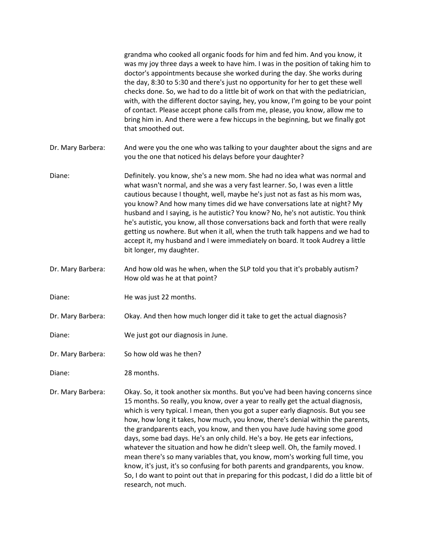|                   | grandma who cooked all organic foods for him and fed him. And you know, it<br>was my joy three days a week to have him. I was in the position of taking him to<br>doctor's appointments because she worked during the day. She works during<br>the day, 8:30 to 5:30 and there's just no opportunity for her to get these well<br>checks done. So, we had to do a little bit of work on that with the pediatrician,<br>with, with the different doctor saying, hey, you know, I'm going to be your point<br>of contact. Please accept phone calls from me, please, you know, allow me to<br>bring him in. And there were a few hiccups in the beginning, but we finally got<br>that smoothed out.                                                                                                                                                                        |
|-------------------|--------------------------------------------------------------------------------------------------------------------------------------------------------------------------------------------------------------------------------------------------------------------------------------------------------------------------------------------------------------------------------------------------------------------------------------------------------------------------------------------------------------------------------------------------------------------------------------------------------------------------------------------------------------------------------------------------------------------------------------------------------------------------------------------------------------------------------------------------------------------------|
| Dr. Mary Barbera: | And were you the one who was talking to your daughter about the signs and are<br>you the one that noticed his delays before your daughter?                                                                                                                                                                                                                                                                                                                                                                                                                                                                                                                                                                                                                                                                                                                               |
| Diane:            | Definitely. you know, she's a new mom. She had no idea what was normal and<br>what wasn't normal, and she was a very fast learner. So, I was even a little<br>cautious because I thought, well, maybe he's just not as fast as his mom was,<br>you know? And how many times did we have conversations late at night? My<br>husband and I saying, is he autistic? You know? No, he's not autistic. You think<br>he's autistic, you know, all those conversations back and forth that were really<br>getting us nowhere. But when it all, when the truth talk happens and we had to<br>accept it, my husband and I were immediately on board. It took Audrey a little<br>bit longer, my daughter.                                                                                                                                                                          |
| Dr. Mary Barbera: | And how old was he when, when the SLP told you that it's probably autism?<br>How old was he at that point?                                                                                                                                                                                                                                                                                                                                                                                                                                                                                                                                                                                                                                                                                                                                                               |
| Diane:            | He was just 22 months.                                                                                                                                                                                                                                                                                                                                                                                                                                                                                                                                                                                                                                                                                                                                                                                                                                                   |
| Dr. Mary Barbera: | Okay. And then how much longer did it take to get the actual diagnosis?                                                                                                                                                                                                                                                                                                                                                                                                                                                                                                                                                                                                                                                                                                                                                                                                  |
| Diane:            | We just got our diagnosis in June.                                                                                                                                                                                                                                                                                                                                                                                                                                                                                                                                                                                                                                                                                                                                                                                                                                       |
| Dr. Mary Barbera: | So how old was he then?                                                                                                                                                                                                                                                                                                                                                                                                                                                                                                                                                                                                                                                                                                                                                                                                                                                  |
| Diane:            | 28 months.                                                                                                                                                                                                                                                                                                                                                                                                                                                                                                                                                                                                                                                                                                                                                                                                                                                               |
| Dr. Mary Barbera: | Okay. So, it took another six months. But you've had been having concerns since<br>15 months. So really, you know, over a year to really get the actual diagnosis,<br>which is very typical. I mean, then you got a super early diagnosis. But you see<br>how, how long it takes, how much, you know, there's denial within the parents,<br>the grandparents each, you know, and then you have Jude having some good<br>days, some bad days. He's an only child. He's a boy. He gets ear infections,<br>whatever the situation and how he didn't sleep well. Oh, the family moved. I<br>mean there's so many variables that, you know, mom's working full time, you<br>know, it's just, it's so confusing for both parents and grandparents, you know.<br>So, I do want to point out that in preparing for this podcast, I did do a little bit of<br>research, not much. |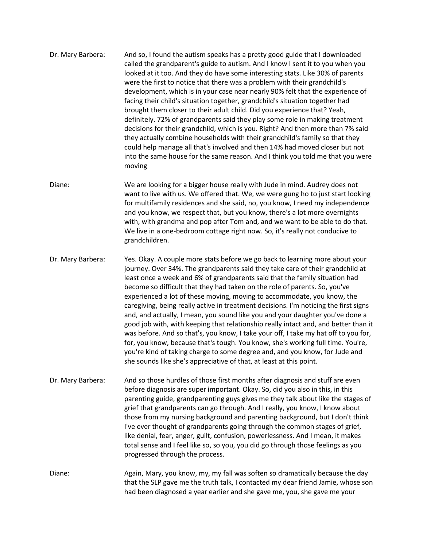| Dr. Mary Barbera: | And so, I found the autism speaks has a pretty good guide that I downloaded<br>called the grandparent's guide to autism. And I know I sent it to you when you<br>looked at it too. And they do have some interesting stats. Like 30% of parents<br>were the first to notice that there was a problem with their grandchild's<br>development, which is in your case near nearly 90% felt that the experience of<br>facing their child's situation together, grandchild's situation together had<br>brought them closer to their adult child. Did you experience that? Yeah,<br>definitely. 72% of grandparents said they play some role in making treatment<br>decisions for their grandchild, which is you. Right? And then more than 7% said<br>they actually combine households with their grandchild's family so that they<br>could help manage all that's involved and then 14% had moved closer but not<br>into the same house for the same reason. And I think you told me that you were |
|-------------------|------------------------------------------------------------------------------------------------------------------------------------------------------------------------------------------------------------------------------------------------------------------------------------------------------------------------------------------------------------------------------------------------------------------------------------------------------------------------------------------------------------------------------------------------------------------------------------------------------------------------------------------------------------------------------------------------------------------------------------------------------------------------------------------------------------------------------------------------------------------------------------------------------------------------------------------------------------------------------------------------|
|                   | moving                                                                                                                                                                                                                                                                                                                                                                                                                                                                                                                                                                                                                                                                                                                                                                                                                                                                                                                                                                                         |

Diane: We are looking for a bigger house really with Jude in mind. Audrey does not want to live with us. We offered that. We, we were gung ho to just start looking for multifamily residences and she said, no, you know, I need my independence and you know, we respect that, but you know, there's a lot more overnights with, with grandma and pop after Tom and, and we want to be able to do that. We live in a one-bedroom cottage right now. So, it's really not conducive to grandchildren.

Dr. Mary Barbera: Yes. Okay. A couple more stats before we go back to learning more about your journey. Over 34%. The grandparents said they take care of their grandchild at least once a week and 6% of grandparents said that the family situation had become so difficult that they had taken on the role of parents. So, you've experienced a lot of these moving, moving to accommodate, you know, the caregiving, being really active in treatment decisions. I'm noticing the first signs and, and actually, I mean, you sound like you and your daughter you've done a good job with, with keeping that relationship really intact and, and better than it was before. And so that's, you know, I take your off, I take my hat off to you for, for, you know, because that's tough. You know, she's working full time. You're, you're kind of taking charge to some degree and, and you know, for Jude and she sounds like she's appreciative of that, at least at this point.

- Dr. Mary Barbera: And so those hurdles of those first months after diagnosis and stuff are even before diagnosis are super important. Okay. So, did you also in this, in this parenting guide, grandparenting guys gives me they talk about like the stages of grief that grandparents can go through. And I really, you know, I know about those from my nursing background and parenting background, but I don't think I've ever thought of grandparents going through the common stages of grief, like denial, fear, anger, guilt, confusion, powerlessness. And I mean, it makes total sense and I feel like so, so you, you did go through those feelings as you progressed through the process.
- Diane: Again, Mary, you know, my, my fall was soften so dramatically because the day that the SLP gave me the truth talk, I contacted my dear friend Jamie, whose son had been diagnosed a year earlier and she gave me, you, she gave me your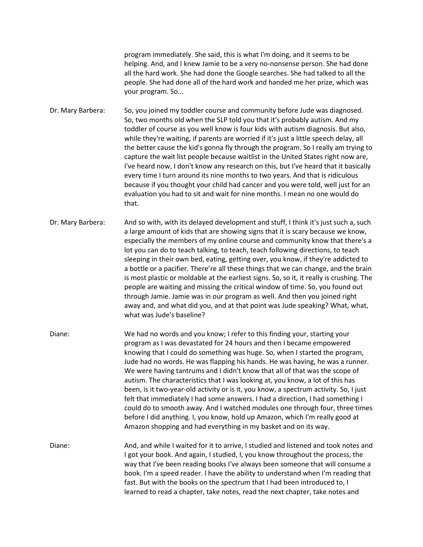program immediately. She said, this is what I'm doing, and it seems to be helping. And, and I knew Jamie to be a very no-nonsense person. She had done all the hard work. She had done the Google searches. She had talked to all the people. She had done all of the hard work and handed me her prize, which was your program. So...

Dr. Mary Barbera: So, you joined my toddler course and community before Jude was diagnosed. So, two months old when the SLP told you that it's probably autism. And my toddler of course as you well know is four kids with autism diagnosis. But also, while they're waiting, if parents are worried if it's just a little speech delay, all the better cause the kid's gonna fly through the program. So I really am trying to capture the wait list people because waitlist in the United States right now are, I've heard now, I don't know any research on this, but I've heard that it basically every time I turn around its nine months to two years. And that is ridiculous because if you thought your child had cancer and you were told, well just for an evaluation you had to sit and wait for nine months. I mean no one would do that.

- Dr. Mary Barbera: And so with, with its delayed development and stuff, I think it's just such a, such a large amount of kids that are showing signs that it is scary because we know, especially the members of my online course and community know that there's a lot you can do to teach talking, to teach, teach following directions, to teach sleeping in their own bed, eating, getting over, you know, if they're addicted to a bottle or a pacifier. There're all these things that we can change, and the brain is most plastic or moldable at the earliest signs. So, so it, it really is crushing. The people are waiting and missing the critical window of time. So, you found out through Jamie. Jamie was in our program as well. And then you joined right away and, and what did you, and at that point was Jude speaking? What, what, what was Jude's baseline?
- Diane: We had no words and you know; I refer to this finding your, starting your program as I was devastated for 24 hours and then I became empowered knowing that I could do something was huge. So, when I started the program, Jude had no words. He was flapping his hands. He was having, he was a runner. We were having tantrums and I didn't know that all of that was the scope of autism. The characteristics that I was looking at, you know, a lot of this has been, is it two-year-old activity or is it, you know, a spectrum activity. So, I just felt that immediately I had some answers. I had a direction, I had something I could do to smooth away. And I watched modules one through four, three times before I did anything. I, you know, hold up Amazon, which I'm really good at Amazon shopping and had everything in my basket and on its way.

Diane: And, and while I waited for it to arrive, I studied and listened and took notes and I got your book. And again, I studied, I, you know throughout the process, the way that I've been reading books I've always been someone that will consume a book. I'm a speed reader. I have the ability to understand when I'm reading that fast. But with the books on the spectrum that I had been introduced to, I learned to read a chapter, take notes, read the next chapter, take notes and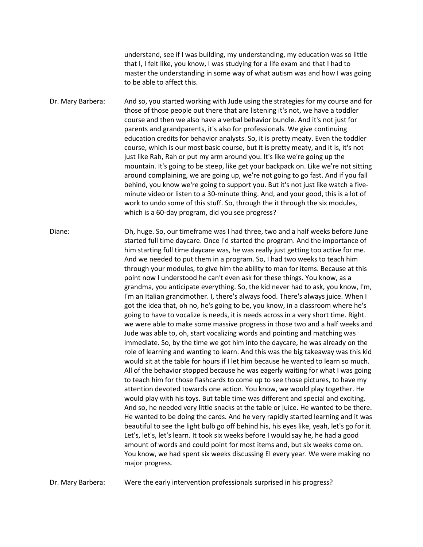understand, see if I was building, my understanding, my education was so little that I, I felt like, you know, I was studying for a life exam and that I had to master the understanding in some way of what autism was and how I was going to be able to affect this.

Dr. Mary Barbera: And so, you started working with Jude using the strategies for my course and for those of those people out there that are listening it's not, we have a toddler course and then we also have a verbal behavior bundle. And it's not just for parents and grandparents, it's also for professionals. We give continuing education credits for behavior analysts. So, it is pretty meaty. Even the toddler course, which is our most basic course, but it is pretty meaty, and it is, it's not just like Rah, Rah or put my arm around you. It's like we're going up the mountain. It's going to be steep, like get your backpack on. Like we're not sitting around complaining, we are going up, we're not going to go fast. And if you fall behind, you know we're going to support you. But it's not just like watch a fiveminute video or listen to a 30-minute thing. And, and your good, this is a lot of work to undo some of this stuff. So, through the it through the six modules, which is a 60-day program, did you see progress?

Diane: Oh, huge. So, our timeframe was I had three, two and a half weeks before June started full time daycare. Once I'd started the program. And the importance of him starting full time daycare was, he was really just getting too active for me. And we needed to put them in a program. So, I had two weeks to teach him through your modules, to give him the ability to man for items. Because at this point now I understood he can't even ask for these things. You know, as a grandma, you anticipate everything. So, the kid never had to ask, you know, I'm, I'm an Italian grandmother. I, there's always food. There's always juice. When I got the idea that, oh no, he's going to be, you know, in a classroom where he's going to have to vocalize is needs, it is needs across in a very short time. Right. we were able to make some massive progress in those two and a half weeks and Jude was able to, oh, start vocalizing words and pointing and matching was immediate. So, by the time we got him into the daycare, he was already on the role of learning and wanting to learn. And this was the big takeaway was this kid would sit at the table for hours if I let him because he wanted to learn so much. All of the behavior stopped because he was eagerly waiting for what I was going to teach him for those flashcards to come up to see those pictures, to have my attention devoted towards one action. You know, we would play together. He would play with his toys. But table time was different and special and exciting. And so, he needed very little snacks at the table or juice. He wanted to be there. He wanted to be doing the cards. And he very rapidly started learning and it was beautiful to see the light bulb go off behind his, his eyes like, yeah, let's go for it. Let's, let's, let's learn. It took six weeks before I would say he, he had a good amount of words and could point for most items and, but six weeks come on. You know, we had spent six weeks discussing EI every year. We were making no major progress.

Dr. Mary Barbera: Were the early intervention professionals surprised in his progress?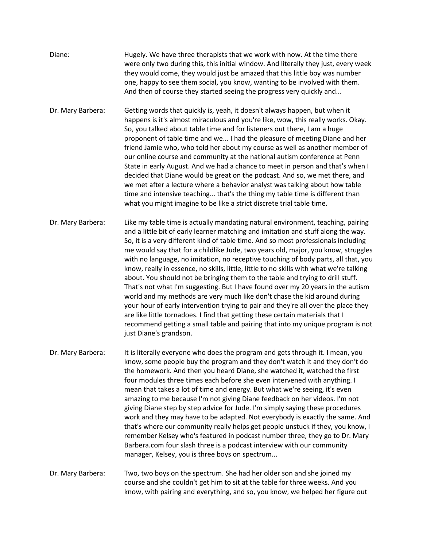| Diane:            | Hugely. We have three therapists that we work with now. At the time there<br>were only two during this, this initial window. And literally they just, every week<br>they would come, they would just be amazed that this little boy was number<br>one, happy to see them social, you know, wanting to be involved with them.<br>And then of course they started seeing the progress very quickly and                                                                                                                                                                                                                                                                                                                                                                                                                                                                                                                                                                                                                                                                  |
|-------------------|-----------------------------------------------------------------------------------------------------------------------------------------------------------------------------------------------------------------------------------------------------------------------------------------------------------------------------------------------------------------------------------------------------------------------------------------------------------------------------------------------------------------------------------------------------------------------------------------------------------------------------------------------------------------------------------------------------------------------------------------------------------------------------------------------------------------------------------------------------------------------------------------------------------------------------------------------------------------------------------------------------------------------------------------------------------------------|
| Dr. Mary Barbera: | Getting words that quickly is, yeah, it doesn't always happen, but when it<br>happens is it's almost miraculous and you're like, wow, this really works. Okay.<br>So, you talked about table time and for listeners out there, I am a huge<br>proponent of table time and we I had the pleasure of meeting Diane and her<br>friend Jamie who, who told her about my course as well as another member of<br>our online course and community at the national autism conference at Penn<br>State in early August. And we had a chance to meet in person and that's when I<br>decided that Diane would be great on the podcast. And so, we met there, and<br>we met after a lecture where a behavior analyst was talking about how table<br>time and intensive teaching that's the thing my table time is different than<br>what you might imagine to be like a strict discrete trial table time.                                                                                                                                                                         |
| Dr. Mary Barbera: | Like my table time is actually mandating natural environment, teaching, pairing<br>and a little bit of early learner matching and imitation and stuff along the way.<br>So, it is a very different kind of table time. And so most professionals including<br>me would say that for a childlike Jude, two years old, major, you know, struggles<br>with no language, no imitation, no receptive touching of body parts, all that, you<br>know, really in essence, no skills, little, little to no skills with what we're talking<br>about. You should not be bringing them to the table and trying to drill stuff.<br>That's not what I'm suggesting. But I have found over my 20 years in the autism<br>world and my methods are very much like don't chase the kid around during<br>your hour of early intervention trying to pair and they're all over the place they<br>are like little tornadoes. I find that getting these certain materials that I<br>recommend getting a small table and pairing that into my unique program is not<br>just Diane's grandson. |
| Dr. Mary Barbera: | It is literally everyone who does the program and gets through it. I mean, you<br>know, some people buy the program and they don't watch it and they don't do<br>the homework. And then you heard Diane, she watched it, watched the first<br>four modules three times each before she even intervened with anything. I<br>mean that takes a lot of time and energy. But what we're seeing, it's even<br>amazing to me because I'm not giving Diane feedback on her videos. I'm not<br>giving Diane step by step advice for Jude. I'm simply saying these procedures<br>work and they may have to be adapted. Not everybody is exactly the same. And<br>that's where our community really helps get people unstuck if they, you know, I<br>remember Kelsey who's featured in podcast number three, they go to Dr. Mary<br>Barbera.com four slash three is a podcast interview with our community<br>manager, Kelsey, you is three boys on spectrum                                                                                                                    |
| Dr. Mary Barbera: | Two, two boys on the spectrum. She had her older son and she joined my<br>course and she couldn't get him to sit at the table for three weeks. And you<br>know, with pairing and everything, and so, you know, we helped her figure out                                                                                                                                                                                                                                                                                                                                                                                                                                                                                                                                                                                                                                                                                                                                                                                                                               |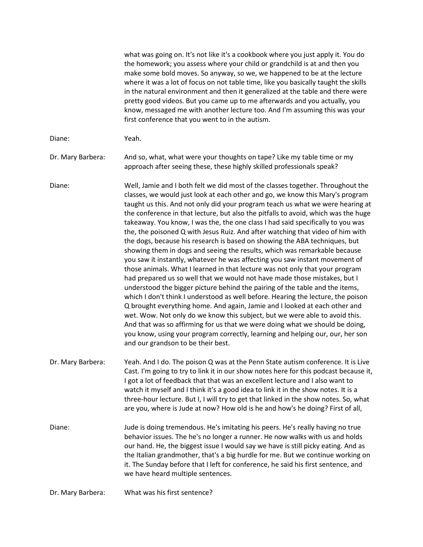|                   | what was going on. It's not like it's a cookbook where you just apply it. You do<br>the homework; you assess where your child or grandchild is at and then you<br>make some bold moves. So anyway, so we, we happened to be at the lecture<br>where it was a lot of focus on not table time, like you basically taught the skills<br>in the natural environment and then it generalized at the table and there were<br>pretty good videos. But you came up to me afterwards and you actually, you<br>know, messaged me with another lecture too. And I'm assuming this was your<br>first conference that you went to in the autism.                                                                                                                                                                                                                                                                                                                                                                                                                                                                                                                                                                                                                                                                                                                                                                                                                           |
|-------------------|---------------------------------------------------------------------------------------------------------------------------------------------------------------------------------------------------------------------------------------------------------------------------------------------------------------------------------------------------------------------------------------------------------------------------------------------------------------------------------------------------------------------------------------------------------------------------------------------------------------------------------------------------------------------------------------------------------------------------------------------------------------------------------------------------------------------------------------------------------------------------------------------------------------------------------------------------------------------------------------------------------------------------------------------------------------------------------------------------------------------------------------------------------------------------------------------------------------------------------------------------------------------------------------------------------------------------------------------------------------------------------------------------------------------------------------------------------------|
| Diane:            | Yeah.                                                                                                                                                                                                                                                                                                                                                                                                                                                                                                                                                                                                                                                                                                                                                                                                                                                                                                                                                                                                                                                                                                                                                                                                                                                                                                                                                                                                                                                         |
| Dr. Mary Barbera: | And so, what, what were your thoughts on tape? Like my table time or my<br>approach after seeing these, these highly skilled professionals speak?                                                                                                                                                                                                                                                                                                                                                                                                                                                                                                                                                                                                                                                                                                                                                                                                                                                                                                                                                                                                                                                                                                                                                                                                                                                                                                             |
| Diane:            | Well, Jamie and I both felt we did most of the classes together. Throughout the<br>classes, we would just look at each other and go, we know this Mary's program<br>taught us this. And not only did your program teach us what we were hearing at<br>the conference in that lecture, but also the pitfalls to avoid, which was the huge<br>takeaway. You know, I was the, the one class I had said specifically to you was<br>the, the poisoned Q with Jesus Ruiz. And after watching that video of him with<br>the dogs, because his research is based on showing the ABA techniques, but<br>showing them in dogs and seeing the results, which was remarkable because<br>you saw it instantly, whatever he was affecting you saw instant movement of<br>those animals. What I learned in that lecture was not only that your program<br>had prepared us so well that we would not have made those mistakes, but I<br>understood the bigger picture behind the pairing of the table and the items,<br>which I don't think I understood as well before. Hearing the lecture, the poison<br>Q brought everything home. And again, Jamie and I looked at each other and<br>wet. Wow. Not only do we know this subject, but we were able to avoid this.<br>And that was so affirming for us that we were doing what we should be doing,<br>you know, using your program correctly, learning and helping our, our, her son<br>and our grandson to be their best. |
| Dr. Mary Barbera: | Yeah. And I do. The poison Q was at the Penn State autism conference. It is Live<br>Cast. I'm going to try to link it in our show notes here for this podcast because it,<br>I got a lot of feedback that that was an excellent lecture and I also want to<br>watch it myself and I think it's a good idea to link it in the show notes. It is a<br>three-hour lecture. But I, I will try to get that linked in the show notes. So, what<br>are you, where is Jude at now? How old is he and how's he doing? First of all,                                                                                                                                                                                                                                                                                                                                                                                                                                                                                                                                                                                                                                                                                                                                                                                                                                                                                                                                    |
| Diane:            | Jude is doing tremendous. He's imitating his peers. He's really having no true<br>behavior issues. The he's no longer a runner. He now walks with us and holds<br>our hand. He, the biggest issue I would say we have is still picky eating. And as<br>the Italian grandmother, that's a big hurdle for me. But we continue working on<br>it. The Sunday before that I left for conference, he said his first sentence, and<br>we have heard multiple sentences.                                                                                                                                                                                                                                                                                                                                                                                                                                                                                                                                                                                                                                                                                                                                                                                                                                                                                                                                                                                              |
| Dr. Mary Barbera: | What was his first sentence?                                                                                                                                                                                                                                                                                                                                                                                                                                                                                                                                                                                                                                                                                                                                                                                                                                                                                                                                                                                                                                                                                                                                                                                                                                                                                                                                                                                                                                  |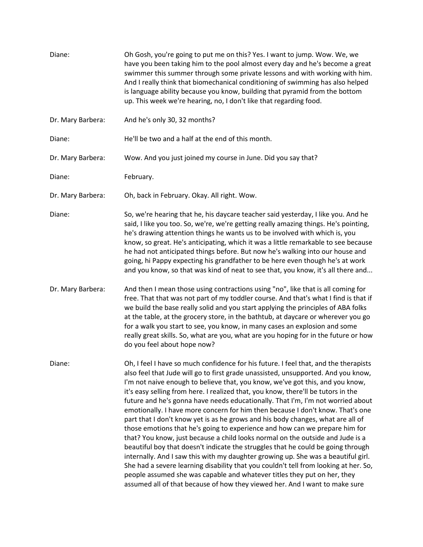| Diane:            | Oh Gosh, you're going to put me on this? Yes. I want to jump. Wow. We, we<br>have you been taking him to the pool almost every day and he's become a great<br>swimmer this summer through some private lessons and with working with him.<br>And I really think that biomechanical conditioning of swimming has also helped<br>is language ability because you know, building that pyramid from the bottom<br>up. This week we're hearing, no, I don't like that regarding food.                                                                                                                                                                                                                                                                                                                                                                                                                                                                                                                                                                                                                                                                                                                     |
|-------------------|------------------------------------------------------------------------------------------------------------------------------------------------------------------------------------------------------------------------------------------------------------------------------------------------------------------------------------------------------------------------------------------------------------------------------------------------------------------------------------------------------------------------------------------------------------------------------------------------------------------------------------------------------------------------------------------------------------------------------------------------------------------------------------------------------------------------------------------------------------------------------------------------------------------------------------------------------------------------------------------------------------------------------------------------------------------------------------------------------------------------------------------------------------------------------------------------------|
| Dr. Mary Barbera: | And he's only 30, 32 months?                                                                                                                                                                                                                                                                                                                                                                                                                                                                                                                                                                                                                                                                                                                                                                                                                                                                                                                                                                                                                                                                                                                                                                         |
| Diane:            | He'll be two and a half at the end of this month.                                                                                                                                                                                                                                                                                                                                                                                                                                                                                                                                                                                                                                                                                                                                                                                                                                                                                                                                                                                                                                                                                                                                                    |
| Dr. Mary Barbera: | Wow. And you just joined my course in June. Did you say that?                                                                                                                                                                                                                                                                                                                                                                                                                                                                                                                                                                                                                                                                                                                                                                                                                                                                                                                                                                                                                                                                                                                                        |
| Diane:            | February.                                                                                                                                                                                                                                                                                                                                                                                                                                                                                                                                                                                                                                                                                                                                                                                                                                                                                                                                                                                                                                                                                                                                                                                            |
| Dr. Mary Barbera: | Oh, back in February. Okay. All right. Wow.                                                                                                                                                                                                                                                                                                                                                                                                                                                                                                                                                                                                                                                                                                                                                                                                                                                                                                                                                                                                                                                                                                                                                          |
| Diane:            | So, we're hearing that he, his daycare teacher said yesterday, I like you. And he<br>said, I like you too. So, we're, we're getting really amazing things. He's pointing,<br>he's drawing attention things he wants us to be involved with which is, you<br>know, so great. He's anticipating, which it was a little remarkable to see because<br>he had not anticipated things before. But now he's walking into our house and<br>going, hi Pappy expecting his grandfather to be here even though he's at work<br>and you know, so that was kind of neat to see that, you know, it's all there and                                                                                                                                                                                                                                                                                                                                                                                                                                                                                                                                                                                                 |
| Dr. Mary Barbera: | And then I mean those using contractions using "no", like that is all coming for<br>free. That that was not part of my toddler course. And that's what I find is that if<br>we build the base really solid and you start applying the principles of ABA folks<br>at the table, at the grocery store, in the bathtub, at daycare or wherever you go<br>for a walk you start to see, you know, in many cases an explosion and some<br>really great skills. So, what are you, what are you hoping for in the future or how<br>do you feel about hope now?                                                                                                                                                                                                                                                                                                                                                                                                                                                                                                                                                                                                                                               |
| Diane:            | Oh, I feel I have so much confidence for his future. I feel that, and the therapists<br>also feel that Jude will go to first grade unassisted, unsupported. And you know,<br>I'm not naive enough to believe that, you know, we've got this, and you know,<br>it's easy selling from here. I realized that, you know, there'll be tutors in the<br>future and he's gonna have needs educationally. That I'm, I'm not worried about<br>emotionally. I have more concern for him then because I don't know. That's one<br>part that I don't know yet is as he grows and his body changes, what are all of<br>those emotions that he's going to experience and how can we prepare him for<br>that? You know, just because a child looks normal on the outside and Jude is a<br>beautiful boy that doesn't indicate the struggles that he could be going through<br>internally. And I saw this with my daughter growing up. She was a beautiful girl.<br>She had a severe learning disability that you couldn't tell from looking at her. So,<br>people assumed she was capable and whatever titles they put on her, they<br>assumed all of that because of how they viewed her. And I want to make sure |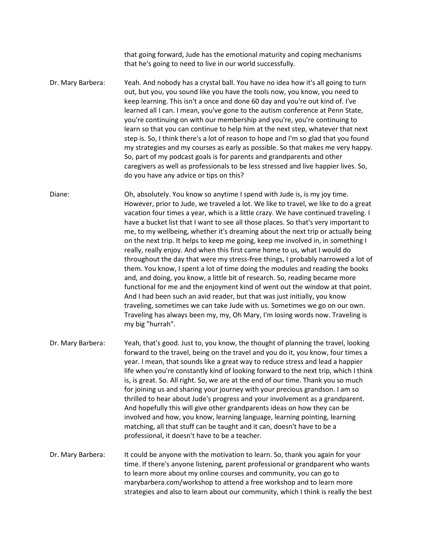that going forward, Jude has the emotional maturity and coping mechanisms that he's going to need to live in our world successfully.

Dr. Mary Barbera: Yeah. And nobody has a crystal ball. You have no idea how it's all going to turn out, but you, you sound like you have the tools now, you know, you need to keep learning. This isn't a once and done 60 day and you're out kind of. I've learned all I can. I mean, you've gone to the autism conference at Penn State, you're continuing on with our membership and you're, you're continuing to learn so that you can continue to help him at the next step, whatever that next step is. So, I think there's a lot of reason to hope and I'm so glad that you found my strategies and my courses as early as possible. So that makes me very happy. So, part of my podcast goals is for parents and grandparents and other caregivers as well as professionals to be less stressed and live happier lives. So, do you have any advice or tips on this?

Diane: Oh, absolutely. You know so anytime I spend with Jude is, is my joy time. However, prior to Jude, we traveled a lot. We like to travel, we like to do a great vacation four times a year, which is a little crazy. We have continued traveling. I have a bucket list that I want to see all those places. So that's very important to me, to my wellbeing, whether it's dreaming about the next trip or actually being on the next trip. It helps to keep me going, keep me involved in, in something I really, really enjoy. And when this first came home to us, what I would do throughout the day that were my stress-free things, I probably narrowed a lot of them. You know, I spent a lot of time doing the modules and reading the books and, and doing, you know, a little bit of research. So, reading became more functional for me and the enjoyment kind of went out the window at that point. And I had been such an avid reader, but that was just initially, you know traveling, sometimes we can take Jude with us. Sometimes we go on our own. Traveling has always been my, my, Oh Mary, I'm losing words now. Traveling is my big "hurrah".

Dr. Mary Barbera: Yeah, that's good. Just to, you know, the thought of planning the travel, looking forward to the travel, being on the travel and you do it, you know, four times a year. I mean, that sounds like a great way to reduce stress and lead a happier life when you're constantly kind of looking forward to the next trip, which I think is, is great. So. All right. So, we are at the end of our time. Thank you so much for joining us and sharing your journey with your precious grandson. I am so thrilled to hear about Jude's progress and your involvement as a grandparent. And hopefully this will give other grandparents ideas on how they can be involved and how, you know, learning language, learning pointing, learning matching, all that stuff can be taught and it can, doesn't have to be a professional, it doesn't have to be a teacher.

Dr. Mary Barbera: It could be anyone with the motivation to learn. So, thank you again for your time. If there's anyone listening, parent professional or grandparent who wants to learn more about my online courses and community, you can go to marybarbera.com/workshop to attend a free workshop and to learn more strategies and also to learn about our community, which I think is really the best